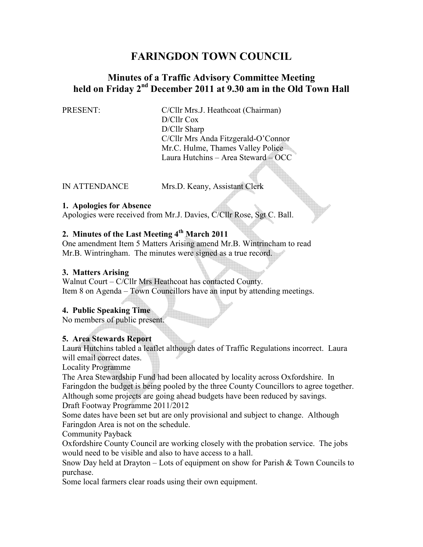# **FARINGDON TOWN COUNCIL**

## **Minutes of a Traffic Advisory Committee Meeting held on Friday 2nd December 2011 at 9.30 am in the Old Town Hall**

PRESENT: C/Cllr Mrs.J. Heathcoat (Chairman) D/Cllr Cox D/Cllr Sharp C/Cllr Mrs Anda Fitzgerald-O'Connor Mr.C. Hulme, Thames Valley Police Laura Hutchins – Area Steward – OCC

IN ATTENDANCE Mrs.D. Keany, Assistant Clerk

#### **1. Apologies for Absence**

Apologies were received from Mr.J. Davies, C/Cllr Rose, Sgt C. Ball.

### **2. Minutes of the Last Meeting 4th March 2011**

One amendment Item 5 Matters Arising amend Mr.B. Wintrincham to read Mr.B. Wintringham. The minutes were signed as a true record.

#### **3. Matters Arising**

Walnut Court – C/Cllr Mrs Heathcoat has contacted County. Item 8 on Agenda – Town Councillors have an input by attending meetings.

#### **4. Public Speaking Time**

No members of public present.

#### **5. Area Stewards Report**

Laura Hutchins tabled a leaflet although dates of Traffic Regulations incorrect. Laura will email correct dates.

Locality Programme

The Area Stewardship Fund had been allocated by locality across Oxfordshire. In Faringdon the budget is being pooled by the three County Councillors to agree together. Although some projects are going ahead budgets have been reduced by savings. Draft Footway Programme 2011/2012

Some dates have been set but are only provisional and subject to change. Although Faringdon Area is not on the schedule.

Community Payback

Oxfordshire County Council are working closely with the probation service. The jobs would need to be visible and also to have access to a hall.

Snow Day held at Drayton – Lots of equipment on show for Parish  $&$  Town Councils to purchase.

Some local farmers clear roads using their own equipment.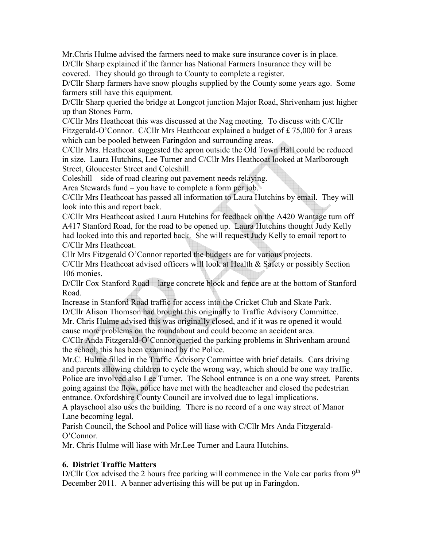Mr.Chris Hulme advised the farmers need to make sure insurance cover is in place. D/Cllr Sharp explained if the farmer has National Farmers Insurance they will be covered. They should go through to County to complete a register.

D/Cllr Sharp farmers have snow ploughs supplied by the County some years ago. Some farmers still have this equipment.

D/Cllr Sharp queried the bridge at Longcot junction Major Road, Shrivenham just higher up than Stones Farm.

C/Cllr Mrs Heathcoat this was discussed at the Nag meeting. To discuss with C/Cllr Fitzgerald-O'Connor. C/Cllr Mrs Heathcoat explained a budget of £ 75,000 for 3 areas which can be pooled between Faringdon and surrounding areas.

C/Cllr Mrs. Heathcoat suggested the apron outside the Old Town Hall could be reduced in size. Laura Hutchins, Lee Turner and C/Cllr Mrs Heathcoat looked at Marlborough Street, Gloucester Street and Coleshill.

Coleshill – side of road clearing out pavement needs relaying.

Area Stewards fund – you have to complete a form per job.

C/Cllr Mrs Heathcoat has passed all information to Laura Hutchins by email. They will look into this and report back.

C/Cllr Mrs Heathcoat asked Laura Hutchins for feedback on the A420 Wantage turn off A417 Stanford Road, for the road to be opened up. Laura Hutchins thought Judy Kelly had looked into this and reported back. She will request Judy Kelly to email report to C/Cllr Mrs Heathcoat.

Cllr Mrs Fitzgerald O'Connor reported the budgets are for various projects.

C/Cllr Mrs Heathcoat advised officers will look at Health & Safety or possibly Section 106 monies.

D/Cllr Cox Stanford Road – large concrete block and fence are at the bottom of Stanford Road.

Increase in Stanford Road traffic for access into the Cricket Club and Skate Park. D/Cllr Alison Thomson had brought this originally to Traffic Advisory Committee. Mr. Chris Hulme advised this was originally closed, and if it was re opened it would cause more problems on the roundabout and could become an accident area.

C/Cllr Anda Fitzgerald-O'Connor queried the parking problems in Shrivenham around the school, this has been examined by the Police.

Mr.C. Hulme filled in the Traffic Advisory Committee with brief details. Cars driving and parents allowing children to cycle the wrong way, which should be one way traffic. Police are involved also Lee Turner. The School entrance is on a one way street. Parents going against the flow, police have met with the headteacher and closed the pedestrian entrance. Oxfordshire County Council are involved due to legal implications.

A playschool also uses the building. There is no record of a one way street of Manor Lane becoming legal.

Parish Council, the School and Police will liase with C/Cllr Mrs Anda Fitzgerald-O'Connor.

Mr. Chris Hulme will liase with Mr.Lee Turner and Laura Hutchins.

#### **6. District Traffic Matters**

D/Cllr Cox advised the 2 hours free parking will commence in the Vale car parks from  $9<sup>th</sup>$ December 2011. A banner advertising this will be put up in Faringdon.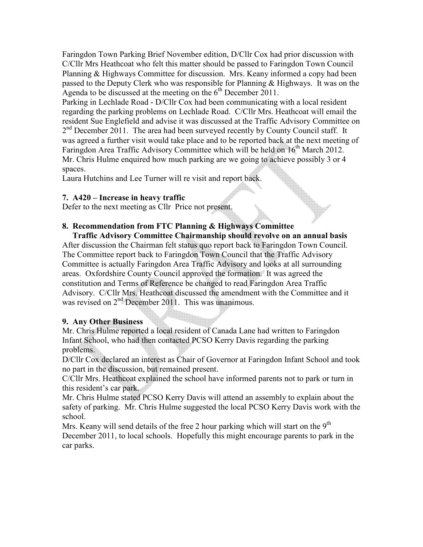Faringdon Town Parking Brief November edition, D/Cllr Cox had prior discussion with C/Cllr Mrs Heathcoat who felt this matter should be passed to Faringdon Town Council Planning & Highways Committee for discussion. Mrs. Keany informed a copy had been passed to the Deputy Clerk who was responsible for Planning & Highways. It was on the Agenda to be discussed at the meeting on the  $6<sup>th</sup>$  December 2011.

Parking in Lechlade Road - D/Cllr Cox had been communicating with a local resident regarding the parking problems on Lechlade Road. C/Cllr Mrs. Heathcoat will email the resident Sue Englefield and advise it was discussed at the Traffic Advisory Committee on  $2<sup>nd</sup>$  December 2011. The area had been surveyed recently by County Council staff. It was agreed a further visit would take place and to be reported back at the next meeting of Faringdon Area Traffic Advisory Committee which will be held on  $16<sup>th</sup>$  March 2012. Mr. Chris Hulme enquired how much parking are we going to achieve possibly 3 or 4 spaces.

Laura Hutchins and Lee Turner will re visit and report back.

#### **7. A420 – Increase in heavy traffic**

Defer to the next meeting as Cllr Price not present.

## **8. Recommendation from FTC Planning & Highways Committee**

 **Traffic Advisory Committee Chairmanship should revolve on an annual basis**  After discussion the Chairman felt status quo report back to Faringdon Town Council. The Committee report back to Faringdon Town Council that the Traffic Advisory Committee is actually Faringdon Area Traffic Advisory and looks at all surrounding areas. Oxfordshire County Council approved the formation. It was agreed the constitution and Terms of Reference be changed to read Faringdon Area Traffic Advisory. C/Cllr Mrs. Heathcoat discussed the amendment with the Committee and it was revised on 2<sup>nd</sup> December 2011. This was unanimous.

#### **9. Any Other Business**

Mr. Chris Hulme reported a local resident of Canada Lane had written to Faringdon Infant School, who had then contacted PCSO Kerry Davis regarding the parking problems.

D/Cllr Cox declared an interest as Chair of Governor at Faringdon Infant School and took no part in the discussion, but remained present.

C/Cllr Mrs. Heathcoat explained the school have informed parents not to park or turn in this resident's car park.

Mr. Chris Hulme stated PCSO Kerry Davis will attend an assembly to explain about the safety of parking. Mr. Chris Hulme suggested the local PCSO Kerry Davis work with the school.

Mrs. Keany will send details of the free 2 hour parking which will start on the  $9<sup>th</sup>$ December 2011, to local schools. Hopefully this might encourage parents to park in the car parks.